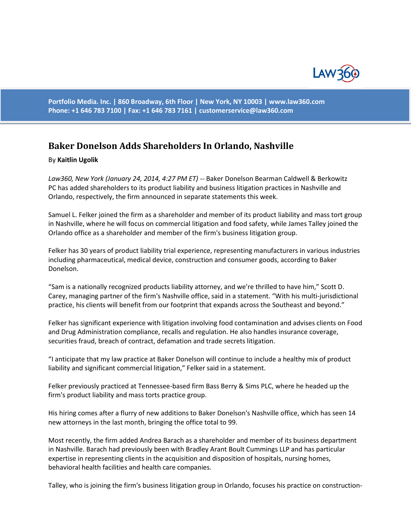

**Portfolio Media. Inc. | 860 Broadway, 6th Floor | New York, NY 10003 | www.law360.com Phone: +1 646 783 7100 | Fax: +1 646 783 7161 | [customerservice@law360.com](mailto:customerservice@law360.com)**

## **Baker Donelson Adds Shareholders In Orlando, Nashville**

## By **Kaitlin Ugolik**

*Law360, New York (January 24, 2014, 4:27 PM ET)* -- Baker Donelson Bearman Caldwell & Berkowitz PC has added shareholders to its product liability and business litigation practices in Nashville and Orlando, respectively, the firm announced in separate statements this week.

Samuel L. Felker joined the firm as a shareholder and member of its product liability and mass tort group in Nashville, where he will focus on commercial litigation and food safety, while James Talley joined the Orlando office as a shareholder and member of the firm's business litigation group.

Felker has 30 years of product liability trial experience, representing manufacturers in various industries including pharmaceutical, medical device, construction and consumer goods, according to Baker Donelson.

"Sam is a nationally recognized products liability attorney, and we're thrilled to have him," Scott D. Carey, managing partner of the firm's Nashville office, said in a statement. "With his multi-jurisdictional practice, his clients will benefit from our footprint that expands across the Southeast and beyond."

Felker has significant experience with litigation involving food contamination and advises clients on Food and Drug Administration compliance, recalls and regulation. He also handles insurance coverage, securities fraud, breach of contract, defamation and trade secrets litigation.

"I anticipate that my law practice at Baker Donelson will continue to include a healthy mix of product liability and significant commercial litigation," Felker said in a statement.

Felker previously practiced at Tennessee-based firm Bass Berry & Sims PLC, where he headed up the firm's product liability and mass torts practice group.

His hiring comes after a flurry of new additions to Baker Donelson's Nashville office, which has seen 14 new attorneys in the last month, bringing the office total to 99.

Most recently, the firm added Andrea Barach as a shareholder and member of its business department in Nashville. Barach had previously been with Bradley Arant Boult Cummings LLP and has particular expertise in representing clients in the acquisition and disposition of hospitals, nursing homes, behavioral health facilities and health care companies.

Talley, who is joining the firm's business litigation group in Orlando, focuses his practice on construction-